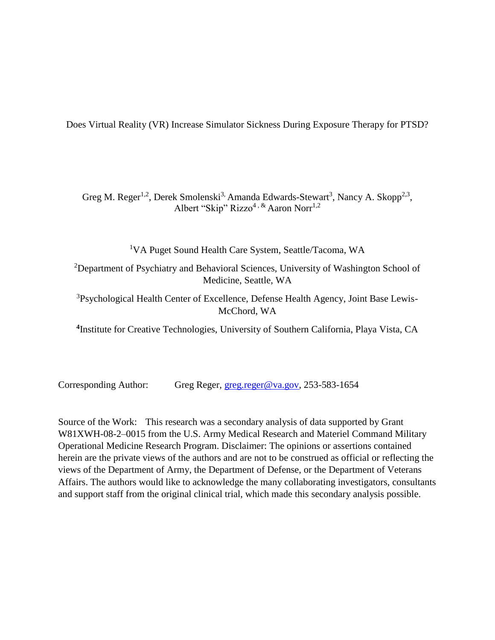Does Virtual Reality (VR) Increase Simulator Sickness During Exposure Therapy for PTSD?

Greg M. Reger<sup>1,2</sup>, Derek Smolenski<sup>3,</sup> Amanda Edwards-Stewart<sup>3</sup>, Nancy A. Skopp<sup>2,3</sup>, Albert "Skip" Rizzo<sup>4, &</sup> Aaron Norr<sup>1,2</sup>

<sup>1</sup>VA Puget Sound Health Care System, Seattle/Tacoma, WA

<sup>2</sup>Department of Psychiatry and Behavioral Sciences, University of Washington School of Medicine, Seattle, WA

<sup>3</sup>Psychological Health Center of Excellence, Defense Health Agency, Joint Base Lewis-McChord, WA

**4** Institute for Creative Technologies, University of Southern California, Playa Vista, CA

Corresponding Author: Greg Reger, [greg.reger@va.gov,](mailto:greg.reger@va.gov) 253-583-1654

Source of the Work: This research was a secondary analysis of data supported by Grant W81XWH-08-2–0015 from the U.S. Army Medical Research and Materiel Command Military Operational Medicine Research Program. Disclaimer: The opinions or assertions contained herein are the private views of the authors and are not to be construed as official or reflecting the views of the Department of Army, the Department of Defense, or the Department of Veterans Affairs. The authors would like to acknowledge the many collaborating investigators, consultants and support staff from the original clinical trial, which made this secondary analysis possible.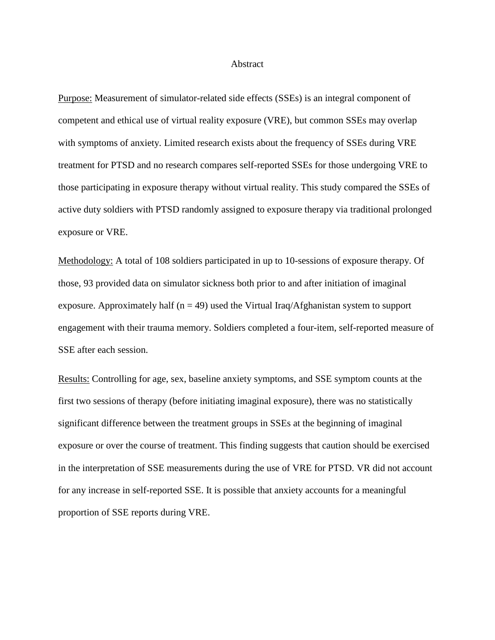### Abstract

Purpose: Measurement of simulator-related side effects (SSEs) is an integral component of competent and ethical use of virtual reality exposure (VRE), but common SSEs may overlap with symptoms of anxiety. Limited research exists about the frequency of SSEs during VRE treatment for PTSD and no research compares self-reported SSEs for those undergoing VRE to those participating in exposure therapy without virtual reality. This study compared the SSEs of active duty soldiers with PTSD randomly assigned to exposure therapy via traditional prolonged exposure or VRE.

Methodology: A total of 108 soldiers participated in up to 10-sessions of exposure therapy. Of those, 93 provided data on simulator sickness both prior to and after initiation of imaginal exposure. Approximately half ( $n = 49$ ) used the Virtual Iraq/Afghanistan system to support engagement with their trauma memory. Soldiers completed a four-item, self-reported measure of SSE after each session.

Results: Controlling for age, sex, baseline anxiety symptoms, and SSE symptom counts at the first two sessions of therapy (before initiating imaginal exposure), there was no statistically significant difference between the treatment groups in SSEs at the beginning of imaginal exposure or over the course of treatment. This finding suggests that caution should be exercised in the interpretation of SSE measurements during the use of VRE for PTSD. VR did not account for any increase in self-reported SSE. It is possible that anxiety accounts for a meaningful proportion of SSE reports during VRE.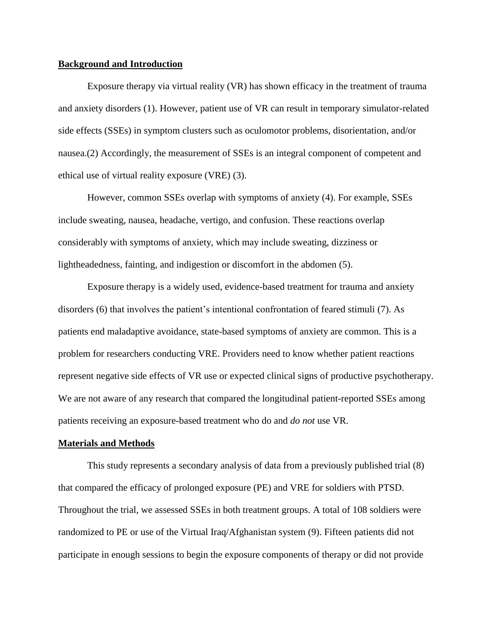# **Background and Introduction**

Exposure therapy via virtual reality (VR) has shown efficacy in the treatment of trauma and anxiety disorders (1). However, patient use of VR can result in temporary simulator-related side effects (SSEs) in symptom clusters such as oculomotor problems, disorientation, and/or nausea.(2) Accordingly, the measurement of SSEs is an integral component of competent and ethical use of virtual reality exposure (VRE) (3).

However, common SSEs overlap with symptoms of anxiety (4). For example, SSEs include sweating, nausea, headache, vertigo, and confusion. These reactions overlap considerably with symptoms of anxiety, which may include sweating, dizziness or lightheadedness, fainting, and indigestion or discomfort in the abdomen (5).

Exposure therapy is a widely used, evidence-based treatment for trauma and anxiety disorders (6) that involves the patient's intentional confrontation of feared stimuli (7). As patients end maladaptive avoidance, state-based symptoms of anxiety are common. This is a problem for researchers conducting VRE. Providers need to know whether patient reactions represent negative side effects of VR use or expected clinical signs of productive psychotherapy. We are not aware of any research that compared the longitudinal patient-reported SSEs among patients receiving an exposure-based treatment who do and *do not* use VR.

### **Materials and Methods**

This study represents a secondary analysis of data from a previously published trial (8) that compared the efficacy of prolonged exposure (PE) and VRE for soldiers with PTSD. Throughout the trial, we assessed SSEs in both treatment groups. A total of 108 soldiers were randomized to PE or use of the Virtual Iraq/Afghanistan system (9). Fifteen patients did not participate in enough sessions to begin the exposure components of therapy or did not provide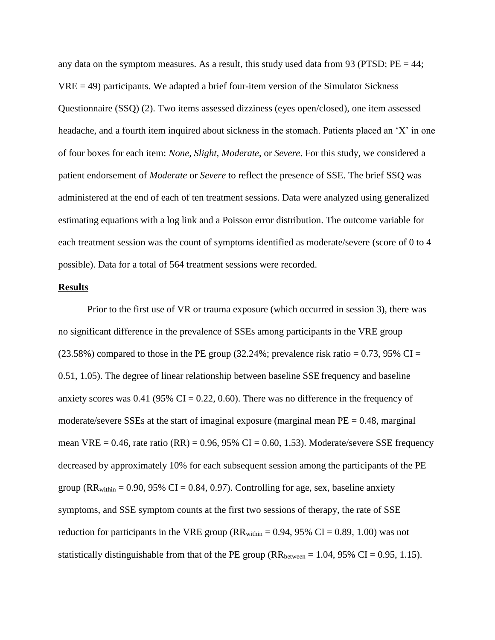any data on the symptom measures. As a result, this study used data from 93 (PTSD;  $PE = 44$ ;  $VRE = 49$ ) participants. We adapted a brief four-item version of the Simulator Sickness Questionnaire (SSQ) (2). Two items assessed dizziness (eyes open/closed), one item assessed headache, and a fourth item inquired about sickness in the stomach. Patients placed an 'X' in one of four boxes for each item: *None, Slight, Moderate*, or *Severe*. For this study, we considered a patient endorsement of *Moderate* or *Severe* to reflect the presence of SSE. The brief SSQ was administered at the end of each of ten treatment sessions. Data were analyzed using generalized estimating equations with a log link and a Poisson error distribution. The outcome variable for each treatment session was the count of symptoms identified as moderate/severe (score of 0 to 4 possible). Data for a total of 564 treatment sessions were recorded.

#### **Results**

Prior to the first use of VR or trauma exposure (which occurred in session 3), there was no significant difference in the prevalence of SSEs among participants in the VRE group  $(23.58\%)$  compared to those in the PE group  $(32.24\%)$ ; prevalence risk ratio = 0.73, 95% CI = 0.51, 1.05). The degree of linear relationship between baseline SSE frequency and baseline anxiety scores was  $0.41$  (95% CI = 0.22, 0.60). There was no difference in the frequency of moderate/severe SSEs at the start of imaginal exposure (marginal mean  $PE = 0.48$ , marginal mean VRE =  $0.46$ , rate ratio (RR) =  $0.96$ ,  $95\%$  CI =  $0.60$ , 1.53). Moderate/severe SSE frequency decreased by approximately 10% for each subsequent session among the participants of the PE group ( $RR_{within} = 0.90, 95\% \text{ CI} = 0.84, 0.97$ ). Controlling for age, sex, baseline anxiety symptoms, and SSE symptom counts at the first two sessions of therapy, the rate of SSE reduction for participants in the VRE group ( $RR_{within} = 0.94, 95\% \text{ CI} = 0.89, 1.00$ ) was not statistically distinguishable from that of the PE group ( $RR_{between} = 1.04, 95\% \text{ CI} = 0.95, 1.15$ ).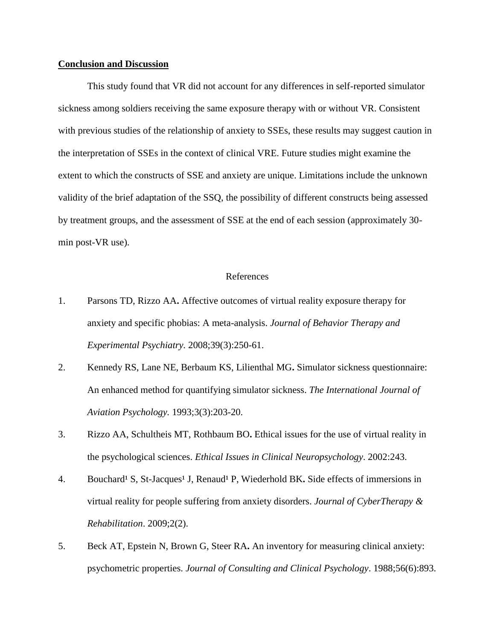# **Conclusion and Discussion**

This study found that VR did not account for any differences in self-reported simulator sickness among soldiers receiving the same exposure therapy with or without VR. Consistent with previous studies of the relationship of anxiety to SSEs, these results may suggest caution in the interpretation of SSEs in the context of clinical VRE. Future studies might examine the extent to which the constructs of SSE and anxiety are unique. Limitations include the unknown validity of the brief adaptation of the SSQ, the possibility of different constructs being assessed by treatment groups, and the assessment of SSE at the end of each session (approximately 30 min post-VR use).

## References

- 1. Parsons TD, Rizzo AA**.** Affective outcomes of virtual reality exposure therapy for anxiety and specific phobias: A meta-analysis. *Journal of Behavior Therapy and Experimental Psychiatry.* 2008;39(3):250-61.
- 2. Kennedy RS, Lane NE, Berbaum KS, Lilienthal MG**.** Simulator sickness questionnaire: An enhanced method for quantifying simulator sickness. *The International Journal of Aviation Psychology.* 1993;3(3):203-20.
- 3. Rizzo AA, Schultheis MT, Rothbaum BO**.** Ethical issues for the use of virtual reality in the psychological sciences. *Ethical Issues in Clinical Neuropsychology*. 2002:243.
- 4. Bouchard<sup>1</sup> S, St-Jacques<sup>1</sup> J, Renaud<sup>1</sup> P, Wiederhold BK. Side effects of immersions in virtual reality for people suffering from anxiety disorders. *Journal of CyberTherapy & Rehabilitation*. 2009;2(2).
- 5. Beck AT, Epstein N, Brown G, Steer RA**.** An inventory for measuring clinical anxiety: psychometric properties. *Journal of Consulting and Clinical Psychology*. 1988;56(6):893.